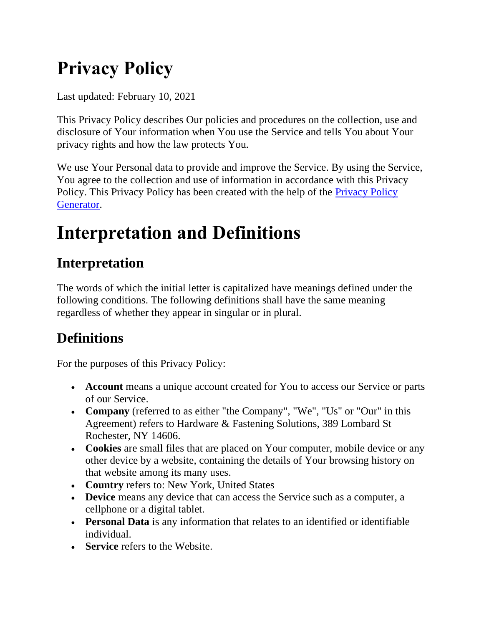# **Privacy Policy**

Last updated: February 10, 2021

This Privacy Policy describes Our policies and procedures on the collection, use and disclosure of Your information when You use the Service and tells You about Your privacy rights and how the law protects You.

We use Your Personal data to provide and improve the Service. By using the Service, You agree to the collection and use of information in accordance with this Privacy Policy. This Privacy Policy has been created with the help of the [Privacy Policy](https://www.freeprivacypolicy.com/free-privacy-policy-generator/)  [Generator.](https://www.freeprivacypolicy.com/free-privacy-policy-generator/)

## **Interpretation and Definitions**

## **Interpretation**

The words of which the initial letter is capitalized have meanings defined under the following conditions. The following definitions shall have the same meaning regardless of whether they appear in singular or in plural.

## **Definitions**

For the purposes of this Privacy Policy:

- **Account** means a unique account created for You to access our Service or parts of our Service.
- **Company** (referred to as either "the Company", "We", "Us" or "Our" in this Agreement) refers to Hardware & Fastening Solutions, 389 Lombard St Rochester, NY 14606.
- **Cookies** are small files that are placed on Your computer, mobile device or any other device by a website, containing the details of Your browsing history on that website among its many uses.
- **Country** refers to: New York, United States
- **Device** means any device that can access the Service such as a computer, a cellphone or a digital tablet.
- **Personal Data** is any information that relates to an identified or identifiable individual.
- **Service** refers to the Website.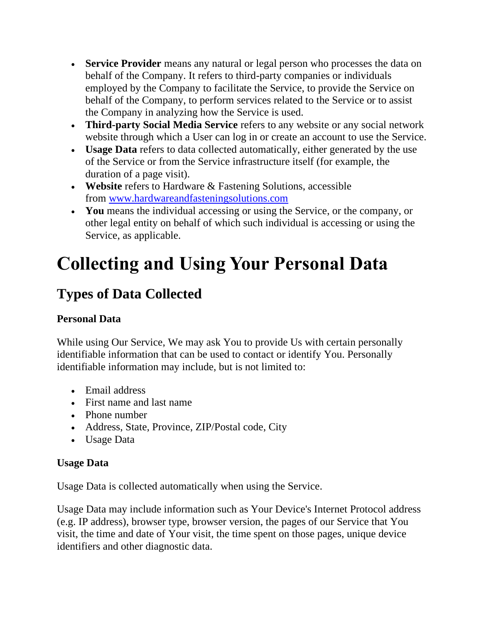- **Service Provider** means any natural or legal person who processes the data on behalf of the Company. It refers to third-party companies or individuals employed by the Company to facilitate the Service, to provide the Service on behalf of the Company, to perform services related to the Service or to assist the Company in analyzing how the Service is used.
- **Third-party Social Media Service** refers to any website or any social network website through which a User can log in or create an account to use the Service.
- **Usage Data** refers to data collected automatically, either generated by the use of the Service or from the Service infrastructure itself (for example, the duration of a page visit).
- **Website** refers to Hardware & Fastening Solutions, accessible from [www.hardwareandfasteningsolutions.com](file:///C:/Users/dianna.diehl/AppData/Local/Microsoft/Windows/INetCache/Content.Outlook/640SKNXC/www.hardwareandfasteningsolutions.com)
- **You** means the individual accessing or using the Service, or the company, or other legal entity on behalf of which such individual is accessing or using the Service, as applicable.

# **Collecting and Using Your Personal Data**

## **Types of Data Collected**

### **Personal Data**

While using Our Service, We may ask You to provide Us with certain personally identifiable information that can be used to contact or identify You. Personally identifiable information may include, but is not limited to:

- Email address
- First name and last name
- Phone number
- Address, State, Province, ZIP/Postal code, City
- Usage Data

#### **Usage Data**

Usage Data is collected automatically when using the Service.

Usage Data may include information such as Your Device's Internet Protocol address (e.g. IP address), browser type, browser version, the pages of our Service that You visit, the time and date of Your visit, the time spent on those pages, unique device identifiers and other diagnostic data.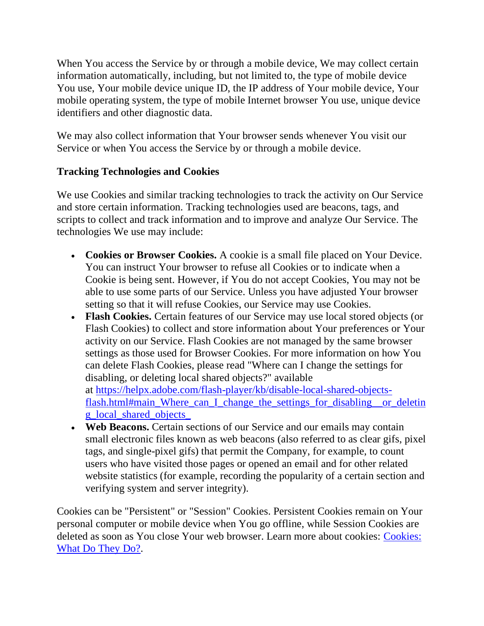When You access the Service by or through a mobile device, We may collect certain information automatically, including, but not limited to, the type of mobile device You use, Your mobile device unique ID, the IP address of Your mobile device, Your mobile operating system, the type of mobile Internet browser You use, unique device identifiers and other diagnostic data.

We may also collect information that Your browser sends whenever You visit our Service or when You access the Service by or through a mobile device.

#### **Tracking Technologies and Cookies**

We use Cookies and similar tracking technologies to track the activity on Our Service and store certain information. Tracking technologies used are beacons, tags, and scripts to collect and track information and to improve and analyze Our Service. The technologies We use may include:

- **Cookies or Browser Cookies.** A cookie is a small file placed on Your Device. You can instruct Your browser to refuse all Cookies or to indicate when a Cookie is being sent. However, if You do not accept Cookies, You may not be able to use some parts of our Service. Unless you have adjusted Your browser setting so that it will refuse Cookies, our Service may use Cookies.
- **Flash Cookies.** Certain features of our Service may use local stored objects (or Flash Cookies) to collect and store information about Your preferences or Your activity on our Service. Flash Cookies are not managed by the same browser settings as those used for Browser Cookies. For more information on how You can delete Flash Cookies, please read "Where can I change the settings for disabling, or deleting local shared objects?" available at [https://helpx.adobe.com/flash-player/kb/disable-local-shared-objects](https://helpx.adobe.com/flash-player/kb/disable-local-shared-objects-flash.html#main_Where_can_I_change_the_settings_for_disabling__or_deleting_local_shared_objects_)[flash.html#main\\_Where\\_can\\_I\\_change\\_the\\_settings\\_for\\_disabling\\_\\_or\\_deletin](https://helpx.adobe.com/flash-player/kb/disable-local-shared-objects-flash.html#main_Where_can_I_change_the_settings_for_disabling__or_deleting_local_shared_objects_) [g\\_local\\_shared\\_objects\\_](https://helpx.adobe.com/flash-player/kb/disable-local-shared-objects-flash.html#main_Where_can_I_change_the_settings_for_disabling__or_deleting_local_shared_objects_)
- **Web Beacons.** Certain sections of our Service and our emails may contain small electronic files known as web beacons (also referred to as clear gifs, pixel tags, and single-pixel gifs) that permit the Company, for example, to count users who have visited those pages or opened an email and for other related website statistics (for example, recording the popularity of a certain section and verifying system and server integrity).

Cookies can be "Persistent" or "Session" Cookies. Persistent Cookies remain on Your personal computer or mobile device when You go offline, while Session Cookies are deleted as soon as You close Your web browser. Learn more about cookies: [Cookies:](https://www.freeprivacypolicy.com/blog/cookies/)  [What Do They Do?.](https://www.freeprivacypolicy.com/blog/cookies/)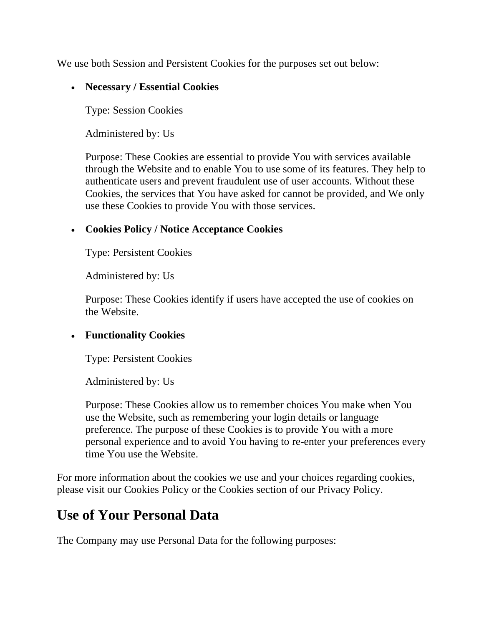We use both Session and Persistent Cookies for the purposes set out below:

#### • **Necessary / Essential Cookies**

Type: Session Cookies

Administered by: Us

Purpose: These Cookies are essential to provide You with services available through the Website and to enable You to use some of its features. They help to authenticate users and prevent fraudulent use of user accounts. Without these Cookies, the services that You have asked for cannot be provided, and We only use these Cookies to provide You with those services.

#### • **Cookies Policy / Notice Acceptance Cookies**

Type: Persistent Cookies

Administered by: Us

Purpose: These Cookies identify if users have accepted the use of cookies on the Website.

#### • **Functionality Cookies**

Type: Persistent Cookies

Administered by: Us

Purpose: These Cookies allow us to remember choices You make when You use the Website, such as remembering your login details or language preference. The purpose of these Cookies is to provide You with a more personal experience and to avoid You having to re-enter your preferences every time You use the Website.

For more information about the cookies we use and your choices regarding cookies, please visit our Cookies Policy or the Cookies section of our Privacy Policy.

### **Use of Your Personal Data**

The Company may use Personal Data for the following purposes: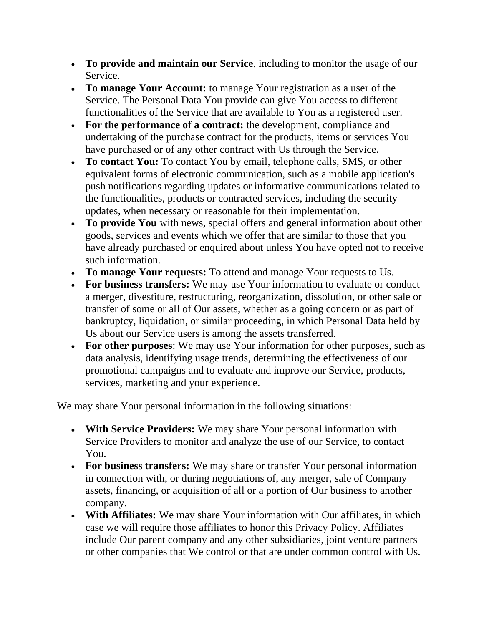- **To provide and maintain our Service**, including to monitor the usage of our Service.
- **To manage Your Account:** to manage Your registration as a user of the Service. The Personal Data You provide can give You access to different functionalities of the Service that are available to You as a registered user.
- **For the performance of a contract:** the development, compliance and undertaking of the purchase contract for the products, items or services You have purchased or of any other contract with Us through the Service.
- **To contact You:** To contact You by email, telephone calls, SMS, or other equivalent forms of electronic communication, such as a mobile application's push notifications regarding updates or informative communications related to the functionalities, products or contracted services, including the security updates, when necessary or reasonable for their implementation.
- **To provide You** with news, special offers and general information about other goods, services and events which we offer that are similar to those that you have already purchased or enquired about unless You have opted not to receive such information.
- **To manage Your requests:** To attend and manage Your requests to Us.
- **For business transfers:** We may use Your information to evaluate or conduct a merger, divestiture, restructuring, reorganization, dissolution, or other sale or transfer of some or all of Our assets, whether as a going concern or as part of bankruptcy, liquidation, or similar proceeding, in which Personal Data held by Us about our Service users is among the assets transferred.
- **For other purposes**: We may use Your information for other purposes, such as data analysis, identifying usage trends, determining the effectiveness of our promotional campaigns and to evaluate and improve our Service, products, services, marketing and your experience.

We may share Your personal information in the following situations:

- **With Service Providers:** We may share Your personal information with Service Providers to monitor and analyze the use of our Service, to contact You.
- **For business transfers:** We may share or transfer Your personal information in connection with, or during negotiations of, any merger, sale of Company assets, financing, or acquisition of all or a portion of Our business to another company.
- **With Affiliates:** We may share Your information with Our affiliates, in which case we will require those affiliates to honor this Privacy Policy. Affiliates include Our parent company and any other subsidiaries, joint venture partners or other companies that We control or that are under common control with Us.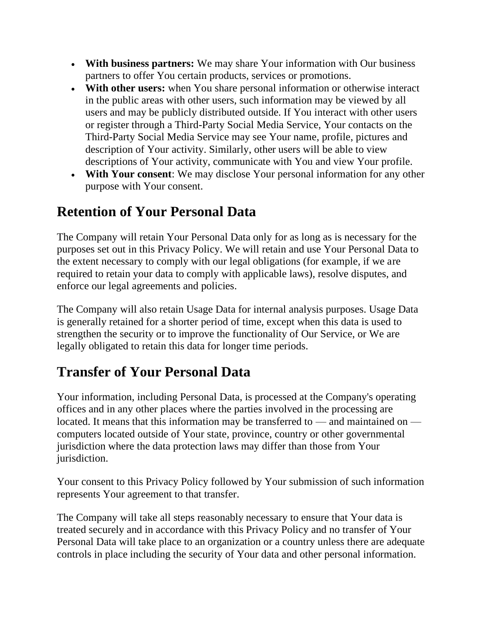- **With business partners:** We may share Your information with Our business partners to offer You certain products, services or promotions.
- **With other users:** when You share personal information or otherwise interact in the public areas with other users, such information may be viewed by all users and may be publicly distributed outside. If You interact with other users or register through a Third-Party Social Media Service, Your contacts on the Third-Party Social Media Service may see Your name, profile, pictures and description of Your activity. Similarly, other users will be able to view descriptions of Your activity, communicate with You and view Your profile.
- **With Your consent**: We may disclose Your personal information for any other purpose with Your consent.

## **Retention of Your Personal Data**

The Company will retain Your Personal Data only for as long as is necessary for the purposes set out in this Privacy Policy. We will retain and use Your Personal Data to the extent necessary to comply with our legal obligations (for example, if we are required to retain your data to comply with applicable laws), resolve disputes, and enforce our legal agreements and policies.

The Company will also retain Usage Data for internal analysis purposes. Usage Data is generally retained for a shorter period of time, except when this data is used to strengthen the security or to improve the functionality of Our Service, or We are legally obligated to retain this data for longer time periods.

## **Transfer of Your Personal Data**

Your information, including Personal Data, is processed at the Company's operating offices and in any other places where the parties involved in the processing are located. It means that this information may be transferred to — and maintained on computers located outside of Your state, province, country or other governmental jurisdiction where the data protection laws may differ than those from Your jurisdiction.

Your consent to this Privacy Policy followed by Your submission of such information represents Your agreement to that transfer.

The Company will take all steps reasonably necessary to ensure that Your data is treated securely and in accordance with this Privacy Policy and no transfer of Your Personal Data will take place to an organization or a country unless there are adequate controls in place including the security of Your data and other personal information.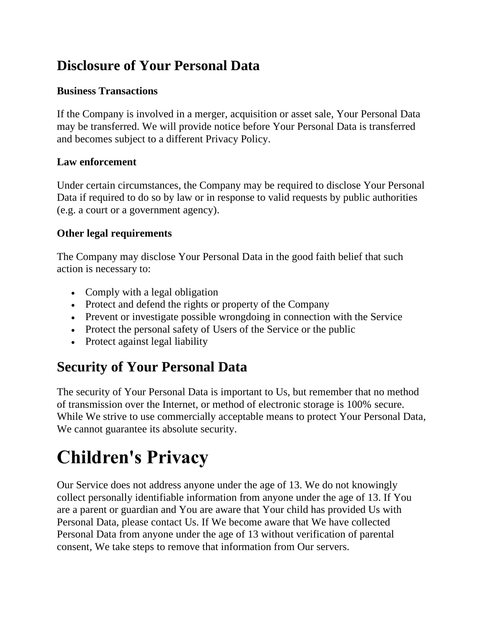## **Disclosure of Your Personal Data**

#### **Business Transactions**

If the Company is involved in a merger, acquisition or asset sale, Your Personal Data may be transferred. We will provide notice before Your Personal Data is transferred and becomes subject to a different Privacy Policy.

#### **Law enforcement**

Under certain circumstances, the Company may be required to disclose Your Personal Data if required to do so by law or in response to valid requests by public authorities (e.g. a court or a government agency).

#### **Other legal requirements**

The Company may disclose Your Personal Data in the good faith belief that such action is necessary to:

- Comply with a legal obligation
- Protect and defend the rights or property of the Company
- Prevent or investigate possible wrongdoing in connection with the Service
- Protect the personal safety of Users of the Service or the public
- Protect against legal liability

## **Security of Your Personal Data**

The security of Your Personal Data is important to Us, but remember that no method of transmission over the Internet, or method of electronic storage is 100% secure. While We strive to use commercially acceptable means to protect Your Personal Data, We cannot guarantee its absolute security.

# **Children's Privacy**

Our Service does not address anyone under the age of 13. We do not knowingly collect personally identifiable information from anyone under the age of 13. If You are a parent or guardian and You are aware that Your child has provided Us with Personal Data, please contact Us. If We become aware that We have collected Personal Data from anyone under the age of 13 without verification of parental consent, We take steps to remove that information from Our servers.